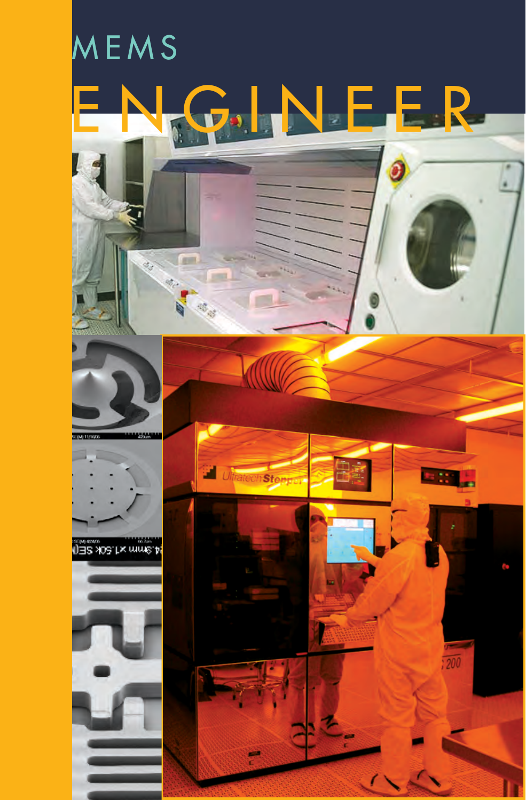